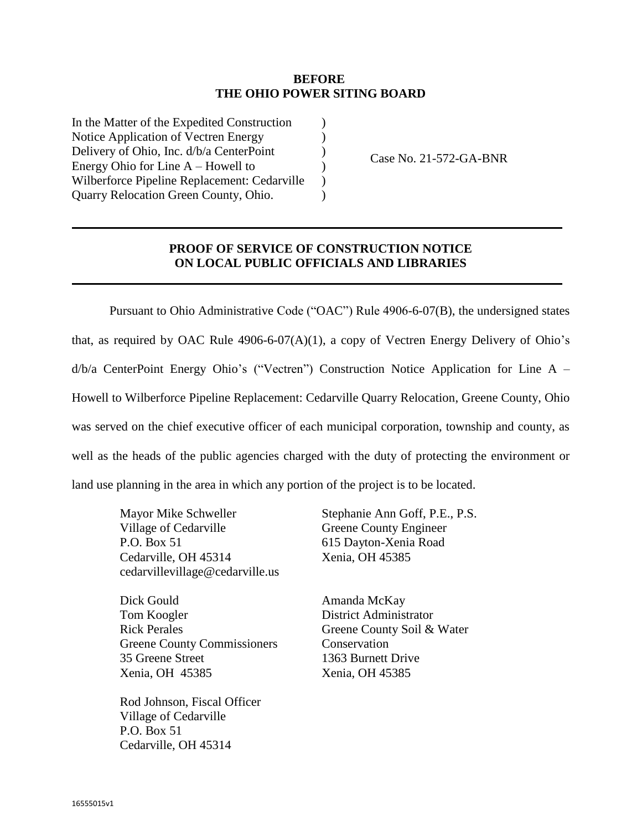## **BEFORE THE OHIO POWER SITING BOARD**

) ) ) ) )  $\lambda$ 

In the Matter of the Expedited Construction Notice Application of Vectren Energy Delivery of Ohio, Inc. d/b/a CenterPoint Energy Ohio for Line A – Howell to Wilberforce Pipeline Replacement: Cedarville Quarry Relocation Green County, Ohio.

Case No. 21-572-GA-BNR

## **PROOF OF SERVICE OF CONSTRUCTION NOTICE ON LOCAL PUBLIC OFFICIALS AND LIBRARIES**

Pursuant to Ohio Administrative Code ("OAC") Rule 4906-6-07(B), the undersigned states that, as required by OAC Rule 4906-6-07(A)(1), a copy of Vectren Energy Delivery of Ohio's d/b/a CenterPoint Energy Ohio's ("Vectren") Construction Notice Application for Line A – Howell to Wilberforce Pipeline Replacement: Cedarville Quarry Relocation, Greene County, Ohio was served on the chief executive officer of each municipal corporation, township and county, as well as the heads of the public agencies charged with the duty of protecting the environment or land use planning in the area in which any portion of the project is to be located.

Mayor Mike Schweller Village of Cedarville P.O. Box 51 Cedarville, OH 45314 cedarvillevillage@cedarville.us

Dick Gould Tom Koogler Rick Perales Greene County Commissioners 35 Greene Street Xenia, OH 45385

Rod Johnson, Fiscal Officer Village of Cedarville P.O. Box 51 Cedarville, OH 45314

Stephanie Ann Goff, P.E., P.S. Greene County Engineer 615 Dayton-Xenia Road Xenia, OH 45385

Amanda McKay District Administrator Greene County Soil & Water **Conservation** 1363 Burnett Drive Xenia, OH 45385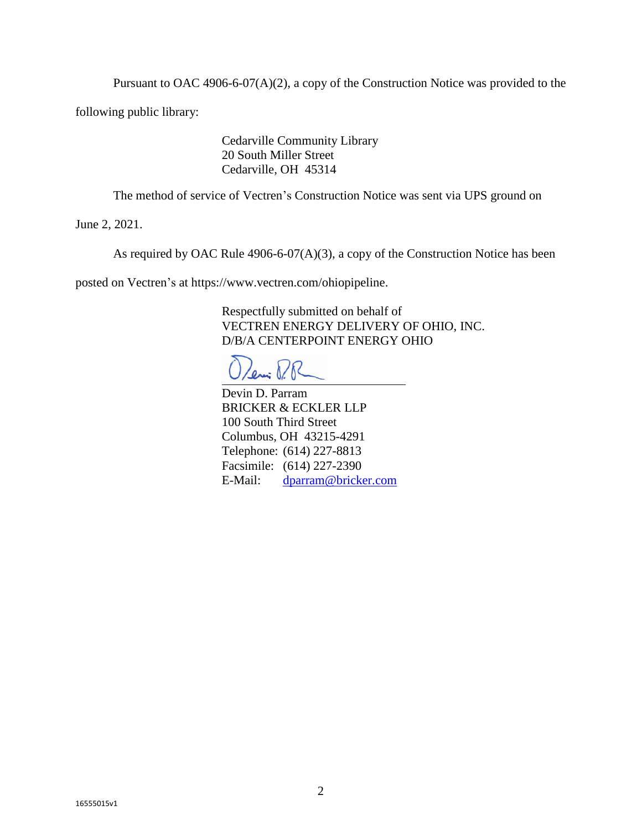Pursuant to OAC 4906-6-07(A)(2), a copy of the Construction Notice was provided to the

following public library:

Cedarville Community Library 20 South Miller Street Cedarville, OH 45314

The method of service of Vectren's Construction Notice was sent via UPS ground on

June 2, 2021.

As required by OAC Rule 4906-6-07(A)(3), a copy of the Construction Notice has been

posted on Vectren's at https://www.vectren.com/ohiopipeline.

Respectfully submitted on behalf of VECTREN ENERGY DELIVERY OF OHIO, INC. D/B/A CENTERPOINT ENERGY OHIO

Leni P.R

Devin D. Parram BRICKER & ECKLER LLP 100 South Third Street Columbus, OH 43215-4291 Telephone: (614) 227-8813 Facsimile: (614) 227-2390 E-Mail: [dparram@bricker.com](mailto:dparram@bricker.com)